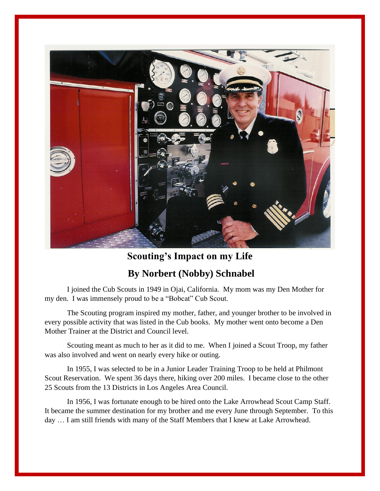

**Scouting's Impact on my Life**

## **By Norbert (Nobby) Schnabel**

I joined the Cub Scouts in 1949 in Ojai, California. My mom was my Den Mother for my den. I was immensely proud to be a "Bobcat" Cub Scout.

The Scouting program inspired my mother, father, and younger brother to be involved in every possible activity that was listed in the Cub books. My mother went onto become a Den Mother Trainer at the District and Council level.

Scouting meant as much to her as it did to me. When I joined a Scout Troop, my father was also involved and went on nearly every hike or outing.

In 1955, I was selected to be in a Junior Leader Training Troop to be held at Philmont Scout Reservation. We spent 36 days there, hiking over 200 miles. I became close to the other 25 Scouts from the 13 Districts in Los Angeles Area Council.

In 1956, I was fortunate enough to be hired onto the Lake Arrowhead Scout Camp Staff. It became the summer destination for my brother and me every June through September. To this day … I am still friends with many of the Staff Members that I knew at Lake Arrowhead.